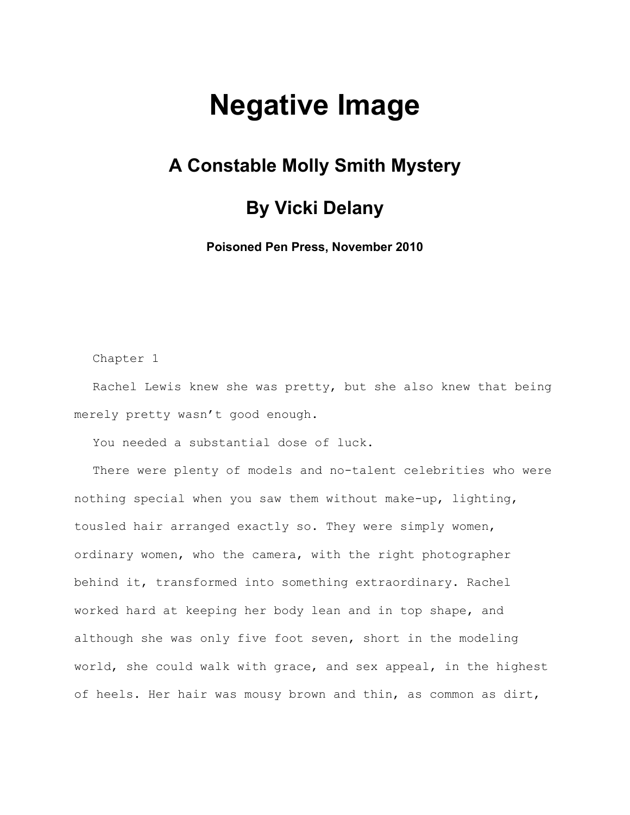## **Negative Image**

## **A Constable Molly Smith Mystery**

## **By Vicki Delany**

**Poisoned Pen Press, November 2010**

Chapter 1

Rachel Lewis knew she was pretty, but she also knew that being merely pretty wasn't good enough.

You needed a substantial dose of luck.

There were plenty of models and no-talent celebrities who were nothing special when you saw them without make-up, lighting, tousled hair arranged exactly so. They were simply women, ordinary women, who the camera, with the right photographer behind it, transformed into something extraordinary. Rachel worked hard at keeping her body lean and in top shape, and although she was only five foot seven, short in the modeling world, she could walk with grace, and sex appeal, in the highest of heels. Her hair was mousy brown and thin, as common as dirt,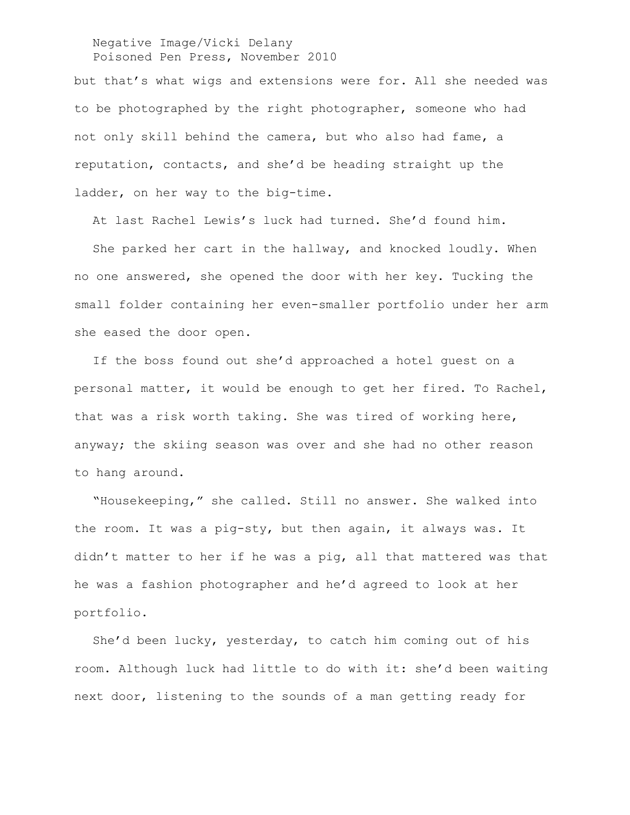but that's what wigs and extensions were for. All she needed was to be photographed by the right photographer, someone who had not only skill behind the camera, but who also had fame, a reputation, contacts, and she'd be heading straight up the ladder, on her way to the big-time.

At last Rachel Lewis's luck had turned. She'd found him.

She parked her cart in the hallway, and knocked loudly. When no one answered, she opened the door with her key. Tucking the small folder containing her even-smaller portfolio under her arm she eased the door open.

If the boss found out she'd approached a hotel guest on a personal matter, it would be enough to get her fired. To Rachel, that was a risk worth taking. She was tired of working here, anyway; the skiing season was over and she had no other reason to hang around.

"Housekeeping," she called. Still no answer. She walked into the room. It was a pig-sty, but then again, it always was. It didn't matter to her if he was a pig, all that mattered was that he was a fashion photographer and he'd agreed to look at her portfolio.

She'd been lucky, yesterday, to catch him coming out of his room. Although luck had little to do with it: she'd been waiting next door, listening to the sounds of a man getting ready for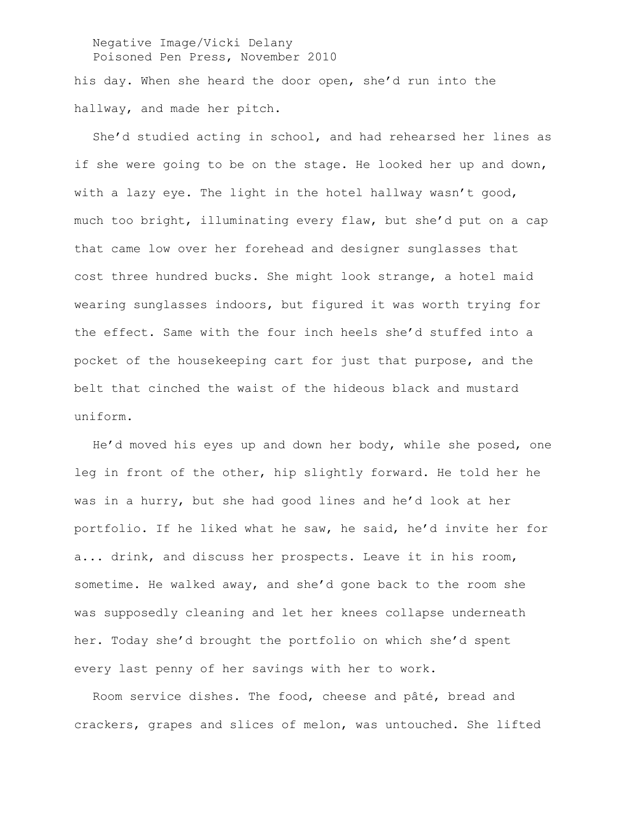his day. When she heard the door open, she'd run into the hallway, and made her pitch.

She'd studied acting in school, and had rehearsed her lines as if she were going to be on the stage. He looked her up and down, with a lazy eye. The light in the hotel hallway wasn't good, much too bright, illuminating every flaw, but she'd put on a cap that came low over her forehead and designer sunglasses that cost three hundred bucks. She might look strange, a hotel maid wearing sunglasses indoors, but figured it was worth trying for the effect. Same with the four inch heels she'd stuffed into a pocket of the housekeeping cart for just that purpose, and the belt that cinched the waist of the hideous black and mustard uniform.

He'd moved his eyes up and down her body, while she posed, one leg in front of the other, hip slightly forward. He told her he was in a hurry, but she had good lines and he'd look at her portfolio. If he liked what he saw, he said, he'd invite her for a... drink, and discuss her prospects. Leave it in his room, sometime. He walked away, and she'd gone back to the room she was supposedly cleaning and let her knees collapse underneath her. Today she'd brought the portfolio on which she'd spent every last penny of her savings with her to work.

Room service dishes. The food, cheese and pâté, bread and crackers, grapes and slices of melon, was untouched. She lifted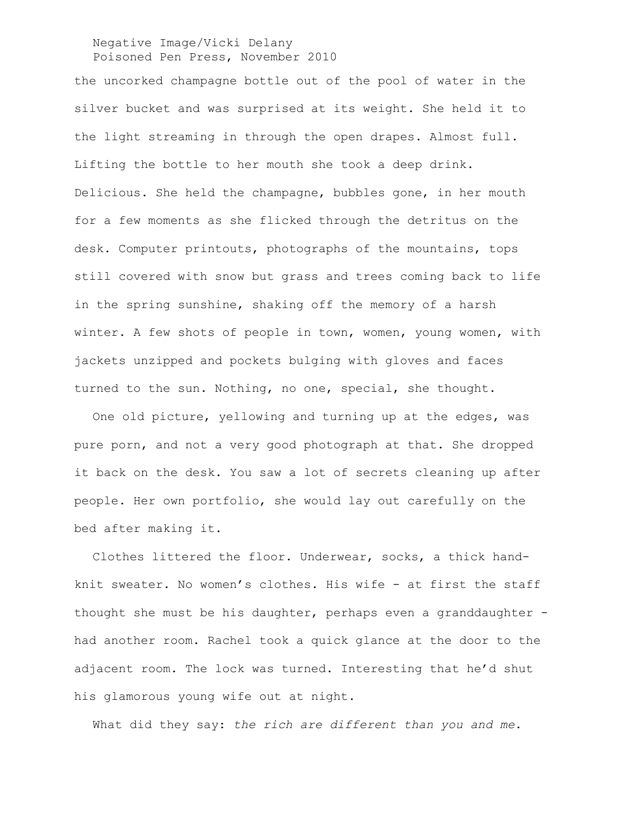the uncorked champagne bottle out of the pool of water in the silver bucket and was surprised at its weight. She held it to the light streaming in through the open drapes. Almost full. Lifting the bottle to her mouth she took a deep drink. Delicious. She held the champagne, bubbles gone, in her mouth for a few moments as she flicked through the detritus on the desk. Computer printouts, photographs of the mountains, tops still covered with snow but grass and trees coming back to life in the spring sunshine, shaking off the memory of a harsh winter. A few shots of people in town, women, young women, with jackets unzipped and pockets bulging with gloves and faces turned to the sun. Nothing, no one, special, she thought.

One old picture, yellowing and turning up at the edges, was pure porn, and not a very good photograph at that. She dropped it back on the desk. You saw a lot of secrets cleaning up after people. Her own portfolio, she would lay out carefully on the bed after making it.

Clothes littered the floor. Underwear, socks, a thick handknit sweater. No women's clothes. His wife - at first the staff thought she must be his daughter, perhaps even a granddaughter had another room. Rachel took a quick glance at the door to the adjacent room. The lock was turned. Interesting that he'd shut his glamorous young wife out at night.

What did they say: *the rich are different than you and me*.